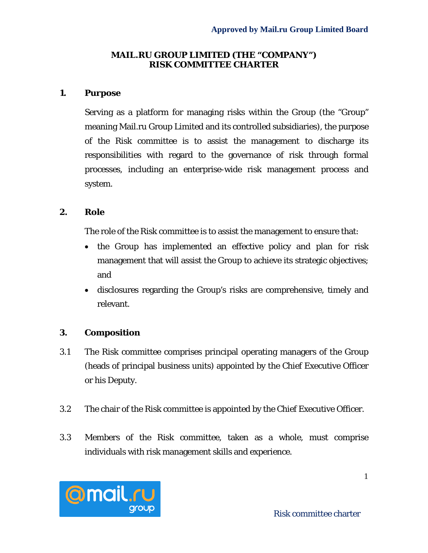### **MAIL.RU GROUP LIMITED (THE "COMPANY") RISK COMMITTEE CHARTER**

### **1. Purpose**

Serving as a platform for managing risks within the Group (the "Group" meaning Mail.ru Group Limited and its controlled subsidiaries), the purpose of the Risk committee is to assist the management to discharge its responsibilities with regard to the governance of risk through formal processes, including an enterprise-wide risk management process and system.

### **2. Role**

The role of the Risk committee is to assist the management to ensure that:

- the Group has implemented an effective policy and plan for risk management that will assist the Group to achieve its strategic objectives; and
- disclosures regarding the Group's risks are comprehensive, timely and relevant.

# **3. Composition**

- 3.1 The Risk committee comprises principal operating managers of the Group (heads of principal business units) appointed by the Chief Executive Officer or his Deputy.
- 3.2 The chair of the Risk committee is appointed by the Chief Executive Officer.
- 3.3 Members of the Risk committee, taken as a whole, must comprise individuals with risk management skills and experience.

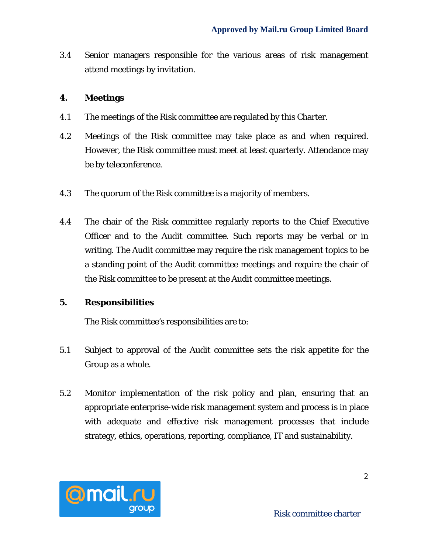3.4 Senior managers responsible for the various areas of risk management attend meetings by invitation.

# **4. Meetings**

- 4.1 The meetings of the Risk committee are regulated by this Charter.
- 4.2 Meetings of the Risk committee may take place as and when required. However, the Risk committee must meet at least quarterly. Attendance may be by teleconference.
- 4.3 The quorum of the Risk committee is a majority of members.
- 4.4 The chair of the Risk committee regularly reports to the Chief Executive Officer and to the Audit committee. Such reports may be verbal or in writing. The Audit committee may require the risk management topics to be a standing point of the Audit committee meetings and require the chair of the Risk committee to be present at the Audit committee meetings.

# **5. Responsibilities**

The Risk committee's responsibilities are to:

- 5.1 Subject to approval of the Audit committee sets the risk appetite for the Group as a whole.
- 5.2 Monitor implementation of the risk policy and plan, ensuring that an appropriate enterprise-wide risk management system and process is in place with adequate and effective risk management processes that include strategy, ethics, operations, reporting, compliance, IT and sustainability.